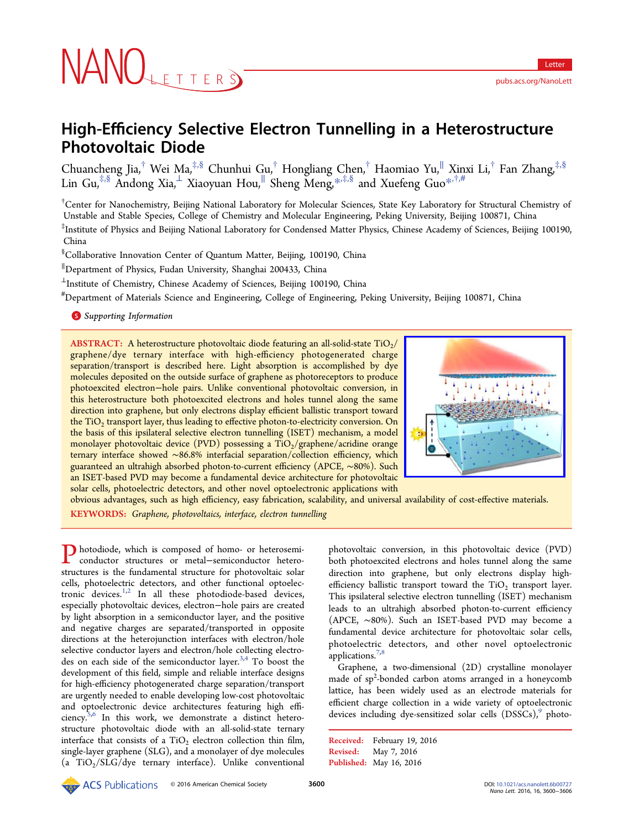# NANOLETTERS

# High-Efficiency Selective Electron Tunnelling in a Heterostructure Photovoltaic Diode

Chuancheng Jia, $^\dagger$  Wei Ma, $^{\ddagger,\S}$  Chunhui Gu, $^\dagger$  Hongliang Chen, $^\dagger$  Haomiao Yu, $^\parallel$  Xinxi Li, $^\dagger$  Fan Zhang, $^{\ddagger,\S}$ Lin Gu,‡,§ Andong Xia,<sup>⊥</sup> Xiaoyuan Hou,<sup>∥</sup> Sheng Meng,\*,‡,§ and Xuefeng Guo\*,†,#

† Center for Nanochemistry, Beijing National Laboratory for Molecul[ar S](#page-5-0)ciences, State Key Labor[ator](#page-5-0)y for Structural Chemistry of Unstable and Stable Species, College of Chemistry and Molecular Engineering, Peking University, Beijing 100871, China

‡ Institute of Physics and Beijing National Laboratory for Condensed Matter Physics, Chinese Academy of Sciences, Beijing 100190, China

§ Collaborative Innovation Center of Quantum Matter, Beijing, 100190, China

∥ Department of Physics, Fudan University, Shanghai 200433, China

<sup>⊥</sup>Institute of Chemistry, Chinese Academy of Sciences, Beijing 100190, China

# Department of Materials Science and Engineering, College of Engineering, Peking University, Beijing 100871, China

**S** Supporting Information

[AB](#page-5-0)STRACT: [A heterostruc](#page-5-0)ture photovoltaic diode featuring an all-solid-state  $TiO<sub>2</sub>/$ graphene/dye ternary interface with high-efficiency photogenerated charge separation/transport is described here. Light absorption is accomplished by dye molecules deposited on the outside surface of graphene as photoreceptors to produce photoexcited electron−hole pairs. Unlike conventional photovoltaic conversion, in this heterostructure both photoexcited electrons and holes tunnel along the same direction into graphene, but only electrons display efficient ballistic transport toward the TiO<sub>2</sub> transport layer, thus leading to effective photon-to-electricity conversion. On the basis of this ipsilateral selective electron tunnelling (ISET) mechanism, a model monolayer photovoltaic device (PVD) possessing a  $TiO_2/graphene/acridine$  orange ternary interface showed ∼86.8% interfacial separation/collection efficiency, which guaranteed an ultrahigh absorbed photon-to-current efficiency (APCE, ∼80%). Such an ISET-based PVD may become a fundamental device architecture for photovoltaic solar cells, photoelectric detectors, and other novel optoelectronic applications with



obvious advantages, such as high efficiency, easy fabrication, scalability, and universal [availability of cost-e](http://pubsdc3.acs.org/action/showImage?doi=10.1021/acs.nanolett.6b00727&iName=master.img-000.jpg&w=153&h=134)ffective materials. KEYWORDS: Graphene, photovoltaics, interface, electron tunnelling

Photodiode, which is composed of homo- or heterosemiconductor structures or metal−semiconductor heterostructures is the fundamental structure for photovoltaic solar cells, photoelectric detectors, and other functional optoelectronic devices. $1,2$  In all these photodiode-based devices, especially photovoltaic devices, electron−hole pairs are created by light absorp[tion](#page-5-0) in a semiconductor layer, and the positive and negative charges are separated/transported in opposite directions at the heterojunction interfaces with electron/hole selective conductor layers and electron/hole collecting electrodes on each side of the semiconductor layer. $3,4$  To boost the development of this field, simple and reliable interface designs for high-efficiency photogenerated charge sep[ara](#page-5-0)tion/transport are urgently needed to enable developing low-cost photovoltaic and optoelectronic device architectures featuring high efficiency. $5,6$  In this work, we demonstrate a distinct heterostructure photovoltaic diode with an all-solid-state ternary interfa[ce](#page-6-0) that consists of a  $TiO<sub>2</sub>$  electron collection thin film, single-layer graphene (SLG), and a monolayer of dye molecules (a  $TiO<sub>2</sub>/SLG/dye$  ternary interface). Unlike conventional

photovoltaic conversion, in this photovoltaic device (PVD) both photoexcited electrons and holes tunnel along the same direction into graphene, but only electrons display highefficiency ballistic transport toward the  $TiO<sub>2</sub>$  transport layer. This ipsilateral selective electron tunnelling (ISET) mechanism leads to an ultrahigh absorbed photon-to-current efficiency (APCE, ∼80%). Such an ISET-based PVD may become a fundamental device architecture for photovoltaic solar cells, photoelectric detectors, and other novel optoelectronic applications.<sup>7,8</sup>

Graphene, a two-dimensional (2D) crystalline monolayer made of sp<sup>2</sup>[-bo](#page-6-0)nded carbon atoms arranged in a honeycomb lattice, has been widely used as an electrode materials for efficient charge collection in a wide variety of optoelectronic devices including dye-sensitized solar cells  $(DSSCs)$ , photo-

Received: February 19, 2016 Revised: May 7, 2016 Published: May 16, 2016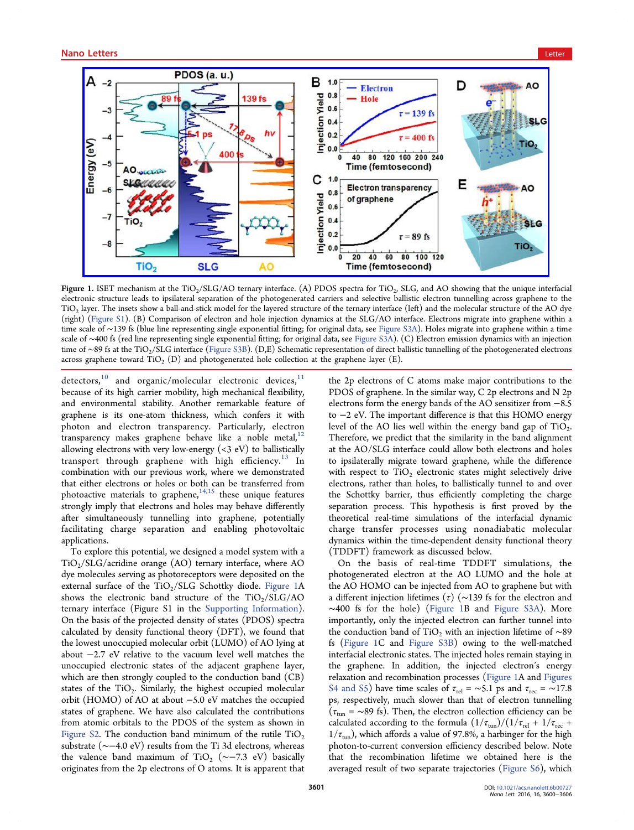<span id="page-1-0"></span>

Figure 1. ISET mechanism at the TiO<sub>2</sub>/SLG/AO ternary interface. (A) PDOS spectra for TiO<sub>2</sub>, SLG, and AO showing that the unique interfacial electronic structure leads to ipsilateral separation of the photogenerated carriers and selective ballistic electron tunnelling across graphene to the  $TiO<sub>2</sub>$  layer. The insets show a ball-and-stick model for the layered structure of the ternary interface (left) and the molecular structure of the AO dye (right) (Figure S1). (B) Comparison of electron and hole injection dynamics at the SLG/AO interface. Electrons migrate into graphene within a time scale of ∼139 fs (blue line representing single exponential fitting; for original data, see Figure S3A). Holes migrate into graphene within a time scale of ∼400 fs (red line representing single exponential fitting; for original data, see Figure S3A). (C) Electron emission dynamics with an injection time of ∼[89 fs at th](http://pubs.acs.org/doi/suppl/10.1021/acs.nanolett.6b00727/suppl_file/nl6b00727_si_001.pdf)e TiO<sub>2</sub>/SLG interface (Figure S3B). (D,E) Schematic representation of direct ballistic tunnelling of the photogenerated electrons across graphene toward TiO<sub>2</sub> (D) and photogenerated hole collection at the graph[ene layer \(E\).](http://pubs.acs.org/doi/suppl/10.1021/acs.nanolett.6b00727/suppl_file/nl6b00727_si_001.pdf)

detecto[r](http://pubs.acs.org/doi/suppl/10.1021/acs.nanolett.6b00727/suppl_file/nl6b00727_si_001.pdf)s,<sup>10</sup> and organic/molecular [electron](http://pubs.acs.org/doi/suppl/10.1021/acs.nanolett.6b00727/suppl_file/nl6b00727_si_001.pdf)ic devices,<sup>11</sup> because of its high carrier mobility, high mechanical flexibility, and envir[on](#page-6-0)mental stability. Another remarkable feature [of](#page-6-0) graphene is its one-atom thickness, which confers it with photon and electron transparency. Particularly, electron transparency makes graphene behave like a noble metal, $12$ allowing electrons with very low-energy (<3 eV) to ballistically transport through graphene with high efficiency. $^{13}$  [In](#page-6-0) combination with our previous work, where we demonstrated that either electrons or holes or both can be transferre[d fr](#page-6-0)om photoactive materials to graphene, $14,15$  these unique features strongly imply that electrons and holes may behave differently after simultaneously tunnelling [into](#page-6-0) graphene, potentially facilitating charge separation and enabling photovoltaic applications.

To explore this potential, we designed a model system with a  $TiO<sub>2</sub>/SLG/acridine orange (AO) ternary interface, where AO$ dye molecules serving as photoreceptors were deposited on the external surface of the  $TiO<sub>2</sub>/SLG$  Schottky diode. Figure 1A shows the electronic band structure of the  $TiO<sub>2</sub>/SLG/AO$ ternary interface (Figure S1 in the Supporting Information). On the basis of the projected density of states (PDOS) spectra calculated by density functional theo[ry \(DFT\), we found tha](http://pubs.acs.org/doi/suppl/10.1021/acs.nanolett.6b00727/suppl_file/nl6b00727_si_001.pdf)t the lowest unoccupied molecular orbit (LUMO) of AO lying at about −2.7 eV relative to the vacuum level well matches the unoccupied electronic states of the adjacent graphene layer, which are then strongly coupled to the conduction band (CB) states of the TiO<sub>2</sub>. Similarly, the highest occupied molecular orbit (HOMO) of AO at about −5.0 eV matches the occupied states of graphene. We have also calculated the contributions from atomic orbitals to the PDOS of the system as shown in Figure S2. The conduction band minimum of the rutile  $TiO<sub>2</sub>$ substrate (∼−4.0 eV) results from the Ti 3d electrons, whereas [the valenc](http://pubs.acs.org/doi/suppl/10.1021/acs.nanolett.6b00727/suppl_file/nl6b00727_si_001.pdf)e band maximum of TiO<sub>2</sub> ( $\sim$ −7.3 eV) basically originates from the 2p electrons of O atoms. It is apparent that the 2p electrons of C atoms make major contributions to the PDOS of graphene. In the similar way, C 2p electrons and N 2p electrons form the energy bands of the AO sensitizer from −8.5 to −2 eV. The important difference is that this HOMO energy level of the AO lies well within the energy band gap of  $TiO<sub>2</sub>$ . Therefore, we predict that the similarity in the band alignment at the AO/SLG interface could allow both electrons and holes to ipsilaterally migrate toward graphene, while the difference with respect to  $TiO<sub>2</sub>$  electronic states might selectively drive electrons, rather than holes, to ballistically tunnel to and over the Schottky barrier, thus efficiently completing the charge separation process. This hypothesis is first proved by the theoretical real-time simulations of the interfacial dynamic charge transfer processes using nonadiabatic molecular dynamics within the time-dependent density functional theory (TDDFT) framework as discussed below.

On the basis of real-time TDDFT simulations, the photogenerated electron at the AO LUMO and the hole at the AO HOMO can be injected from AO to graphene but with a different injection lifetimes (τ) ( $\sim$ 139 fs for the electron and ∼400 fs for the hole) (Figure 1B and Figure S3A). More importantly, only the injected electron can further tunnel into the conduction band of TiO<sub>2</sub> with an inje[ction lifetime](http://pubs.acs.org/doi/suppl/10.1021/acs.nanolett.6b00727/suppl_file/nl6b00727_si_001.pdf) of ∼89 fs (Figure 1C and Figure S3B) owing to the well-matched interfacial electronic states. The injected holes remain staying in the graphene. In [addition, th](http://pubs.acs.org/doi/suppl/10.1021/acs.nanolett.6b00727/suppl_file/nl6b00727_si_001.pdf)e injected electron's energy relaxation and recombination processes (Figure 1A and Figures S4 and S5) have time scales of  $\tau_{rel} = \sim 5.1$  ps and  $\tau_{rec} = \sim 17.8$ ps, respectively, much slower than that of electron tu[nnelling](http://pubs.acs.org/doi/suppl/10.1021/acs.nanolett.6b00727/suppl_file/nl6b00727_si_001.pdf)  $(\tau_{\text{tun}} = \sim 89 \text{ fs})$ . Then, the electron collection efficiency can be [calculated](http://pubs.acs.org/doi/suppl/10.1021/acs.nanolett.6b00727/suppl_file/nl6b00727_si_001.pdf) according to the formula  $(1/\tau_{\text{tun}})/(1/\tau_{\text{rel}} + 1/\tau_{\text{rec}} +$  $1/\tau_\mathrm{tun})$  , which affords a value of 97.8%, a harbinger for the high photon-to-current conversion efficiency described below. Note that the recombination lifetime we obtained here is the averaged result of two separate trajectories (Figure S6), which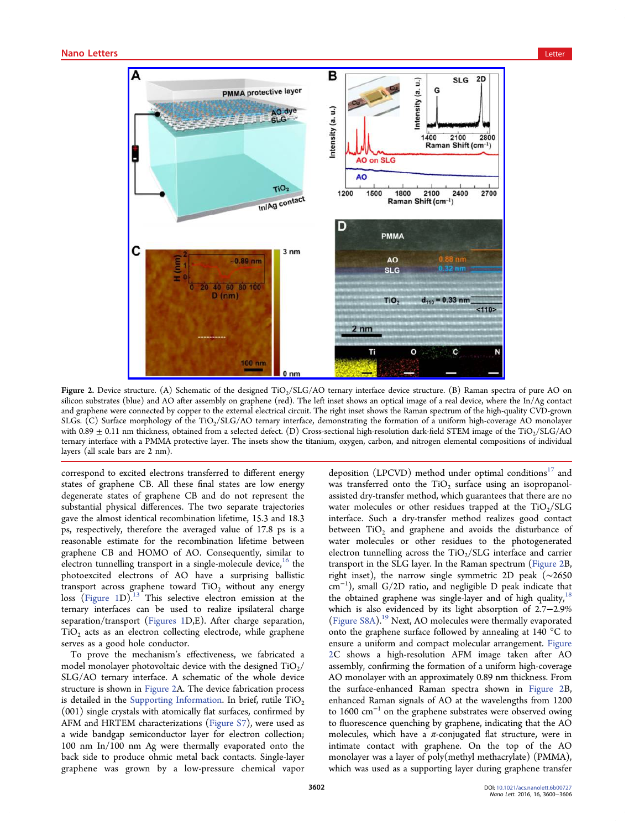<span id="page-2-0"></span>

Figure 2. Device structure. (A) Schematic of the designed TiO<sub>2</sub>/SLG/AO ternary interface device structure. (B) Raman spectra of pure AO on silicon substrates (blue) and AO after assembly on graphene (red). The left inset shows an optical image of a real device, where the In/Ag contact and graphene were connected by copper to the external electrical circuit. The right inset shows the Raman spectrum of the high-quality CVD-grown SLGs. (C) Surface morphology of the TiO<sub>2</sub>/SLG/AO ternary interface, demonstrating the formation of a uniform high-coverage AO monolayer with  $0.89 \pm 0.11$  nm thickness, obtained from a selected defect. (D) Cross-sectional high-resolution dark-field STEM image of the TiO<sub>2</sub>/SLG/AO ternary interface with a PMMA protective layer. The insets show the titanium, oxygen, carbon, and nitrogen elemental compositions of individual layers (all scale bars are 2 nm).

correspond to excited electrons transferred to different energy states of graphene CB. All these final states are low energy degenerate states of graphene CB and do not represent the substantial physical differences. The two separate trajectories gave the almost identical recombination lifetime, 15.3 and 18.3 ps, respectively, therefore the averaged value of 17.8 ps is a reasonable estimate for the recombination lifetime between graphene CB and HOMO of AO. Consequently, similar to electron tunnelling transport in a single-molecule device,  $16$  the photoexcited electrons of AO have a surprising ballistic transport across graph[ene](#page-6-0) toward  $TiO<sub>2</sub>$  without any energy loss  $(Figure 1D).<sup>13</sup>$  This selective electron emission at the ternary interfaces can be used to realize ipsilateral charge separ[ation/tran](#page-1-0)sp[ort](#page-6-0) (Figures 1D,E). After charge separation,  $TiO<sub>2</sub>$  acts as an electron collecting electrode, while graphene serves as a good hole [conductor](#page-1-0).

To prove the mechanism's effectiveness, we fabricated a model monolayer photovoltaic device with the designed  $TiO<sub>2</sub>/$ SLG/AO ternary interface. A schematic of the whole device structure is shown in Figure 2A. The device fabrication process is detailed in the Supporting Information. In brief, rutile  $TiO<sub>2</sub>$ (001) single crystals with atomically flat surfaces, confirmed by AFM and HRTE[M characterizations \(Figu](http://pubs.acs.org/doi/suppl/10.1021/acs.nanolett.6b00727/suppl_file/nl6b00727_si_001.pdf)re S7), were used as a wide bandgap semiconductor layer for electron collection; 100 nm In/100 nm Ag were therm[ally evapor](http://pubs.acs.org/doi/suppl/10.1021/acs.nanolett.6b00727/suppl_file/nl6b00727_si_001.pdf)ated onto the back side to produce ohmic metal back contacts. Single-layer graphene was grown by a low-pressure chemical vapor

deposition (LPCVD) method under optimal conditions<sup>17</sup> and was transferred onto the  $TiO<sub>2</sub>$  surface using an isopropanolassisted dry-transfer method, which guarantees that there [ar](#page-6-0)e no water molecules or other residues trapped at the  $TiO<sub>2</sub>/SLG$ interface. Such a dry-transfer method realizes good contact between  $TiO<sub>2</sub>$  and graphene and avoids the disturbance of water molecules or other residues to the photogenerated electron tunnelling across the  $TiO<sub>2</sub>/SLG$  interface and carrier transport in the SLG layer. In the Raman spectrum (Figure 2B, right inset), the narrow single symmetric 2D peak (∼2650 cm<sup>−</sup><sup>1</sup> ), small G/2D ratio, and negligible D peak indicate that the obtained graphene was single-layer and of high quality, $18$ which is also evidenced by its light absorption of 2.7−2.9% (Figure S8A).<sup>19</sup> Next, AO molecules were thermally evaporat[ed](#page-6-0) onto the graphene surface followed by annealing at 140 °C to [ensure a uni](http://pubs.acs.org/doi/suppl/10.1021/acs.nanolett.6b00727/suppl_file/nl6b00727_si_001.pdf)f[orm](#page-6-0) and compact molecular arrangement. Figure 2C shows a high-resolution AFM image taken after AO assembly, confirming the formation of a uniform high-coverage AO monolayer with an approximately 0.89 nm thickness. From the surface-enhanced Raman spectra shown in Figure 2B, enhanced Raman signals of AO at the wavelengths from 1200 to 1600  $\text{cm}^{-1}$  on the graphene substrates were observed owing to fluorescence quenching by graphene, indicating that the AO molecules, which have a  $\pi$ -conjugated flat structure, were in intimate contact with graphene. On the top of the AO monolayer was a layer of poly(methyl methacrylate) (PMMA), which was used as a supporting layer during graphene transfer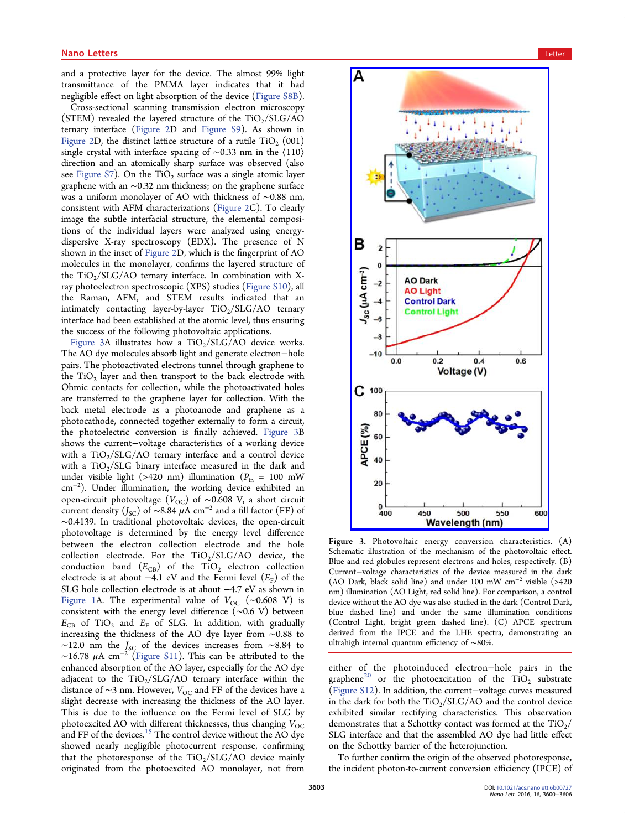and a protective layer for the device. The almost 99% light transmittance of the PMMA layer indicates that it had negligible effect on light absorption of the device (Figure S8B).

Cross-sectional scanning transmission electron microscopy (STEM) revealed the layered structure of the  $TiO<sub>2</sub>/SLG/AO$ ternary interface (Figure 2D and Figure S9). As shown in Figure 2D, the distinct lattice structure of a rutile  $TiO<sub>2</sub>$  (001) single crystal with [interface](#page-2-0) spacing of ∼0.33 nm in the ⟨110⟩ [direction](#page-2-0) and an atomically sharp [surface](http://pubs.acs.org/doi/suppl/10.1021/acs.nanolett.6b00727/suppl_file/nl6b00727_si_001.pdf) [was](http://pubs.acs.org/doi/suppl/10.1021/acs.nanolett.6b00727/suppl_file/nl6b00727_si_001.pdf) observed (also see Figure S7). On the  $TiO<sub>2</sub>$  surface was a single atomic layer graphene with an ∼0.32 nm thickness; on the graphene surface was [a uniform](http://pubs.acs.org/doi/suppl/10.1021/acs.nanolett.6b00727/suppl_file/nl6b00727_si_001.pdf) monolayer of AO with thickness of ∼0.88 nm, consistent with AFM characterizations (Figure 2C). To clearly image the subtle interfacial structure, the elemental compositions of the individual layers were a[nalyzed](#page-2-0) using energydispersive X-ray spectroscopy (EDX). The presence of N shown in the inset of Figure 2D, which is the fingerprint of AO molecules in the monolayer, confirms the layered structure of the  $TiO<sub>2</sub>/SLG/AO$  t[ernary in](#page-2-0)terface. In combination with Xray photoelectron spectroscopic (XPS) studies (Figure S10), all the Raman, AFM, and STEM results indicated that an intimately contacting layer-by-layer  $TiO<sub>2</sub>/SLG/AO$  ternary interface had been established at the atomic level, thus ensuring the success of the following photovoltaic applications.

Figure 3A illustrates how a  $TiO<sub>2</sub>/SLG/AO$  device works. The AO dye molecules absorb light and generate electron−hole pairs. The photoactivated electrons tunnel through graphene to the  $TiO<sub>2</sub>$  layer and then transport to the back electrode with Ohmic contacts for collection, while the photoactivated holes are transferred to the graphene layer for collection. With the back metal electrode as a photoanode and graphene as a photocathode, connected together externally to form a circuit, the photoelectric conversion is finally achieved. Figure 3B shows the current−voltage characteristics of a working device with a  $TiO<sub>2</sub>/SLG/AO$  ternary interface and a control device with a  $TiO<sub>2</sub>/SLG$  binary interface measured in the dark and under visible light (>420 nm) illumination ( $P_{\text{in}} = 100 \text{ mW}$ cm<sup>−</sup><sup>2</sup> ). Under illumination, the working device exhibited an open-circuit photovoltage ( $V_{\text{OC}}$ ) of ~0.608 V, a short circuit current density ( $J_{\text{SC}}$ ) of ~8.84  $\mu$ A cm<sup>-2</sup> and a fill factor (FF) of ∼0.4139. In traditional photovoltaic devices, the open-circuit photovoltage is determined by the energy level difference between the electron collection electrode and the hole collection electrode. For the  $TiO_2/SLG/AO$  device, the conduction band  $(E_{CB})$  of the TiO<sub>2</sub> electron collection electrode is at about −4.1 eV and the Fermi level  $(E<sub>F</sub>)$  of the SLG hole collection electrode is at about −4.7 eV as shown in Figure 1A. The experimental value of  $V_{OC}$  (~0.608 V) is consistent with the energy level difference (∼0.6 V) between  $E_{CB}$  of TiO<sub>2</sub> and  $E_F$  of SLG. In addition, with gradually [increasing](#page-1-0) the thickness of the AO dye layer from ∼0.88 to  $∼12.0$  nm the  $J_{SC}$  of the devices increases from  $∼8.84$  to ~16.78  $\mu$ A cm<sup>-2</sup> (Figure S11). This can be attributed to the enhanced absorption of the AO layer, especially for the AO dye adjacent to the  $TiO<sub>2</sub>/SLG/AO$  ternary interface within the distance of ∼3 nm. However,  $V_{OC}$  and FF of the devices have a slight decrease with increasing the thickness of the AO layer. This is due to the influence on the Fermi level of SLG by photoexcited AO with different thicknesses, thus changing  $V_{OC}$ and FF of the devices.<sup>15</sup> The control device without the AO dye showed nearly negligible photocurrent response, confirming that the photorespo[nse](#page-6-0) of the  $TiO<sub>2</sub>/SLG/AO$  device mainly originated from the photoexcited AO monolayer, not from

<span id="page-3-0"></span>

Figure 3. [Photovoltaic energy conversion characteristic](http://pubsdc3.acs.org/action/showImage?doi=10.1021/acs.nanolett.6b00727&iName=master.img-003.jpg&w=191&h=451)s. (A) Schematic illustration of the mechanism of the photovoltaic effect. Blue and red globules represent electrons and holes, respectively. (B) Current−voltage characteristics of the device measured in the dark (AO Dark, black solid line) and under 100 mW cm<sup>−</sup><sup>2</sup> visible (>420 nm) illumination (AO Light, red solid line). For comparison, a control device without the AO dye was also studied in the dark (Control Dark, blue dashed line) and under the same illumination conditions (Control Light, bright green dashed line). (C) APCE spectrum derived from the IPCE and the LHE spectra, demonstrating an ultrahigh internal quantum efficiency of ∼80%.

either of the photoinduced electron−hole pairs in the graphene<sup>20</sup> or the photoexcitation of the  $T_1O_2$  substrate (Figure S12). In addition, the current−voltage curves measured in the da[rk](#page-6-0) for both the  $TiO_2/SLG/AO$  and the control device [exhibited si](http://pubs.acs.org/doi/suppl/10.1021/acs.nanolett.6b00727/suppl_file/nl6b00727_si_001.pdf)milar rectifying characteristics. This observation demonstrates that a Schottky contact was formed at the  $TiO<sub>2</sub>/$ SLG interface and that the assembled AO dye had little effect on the Schottky barrier of the heterojunction.

To further confirm the origin of the observed photoresponse, the incident photon-to-current conversion efficiency (IPCE) of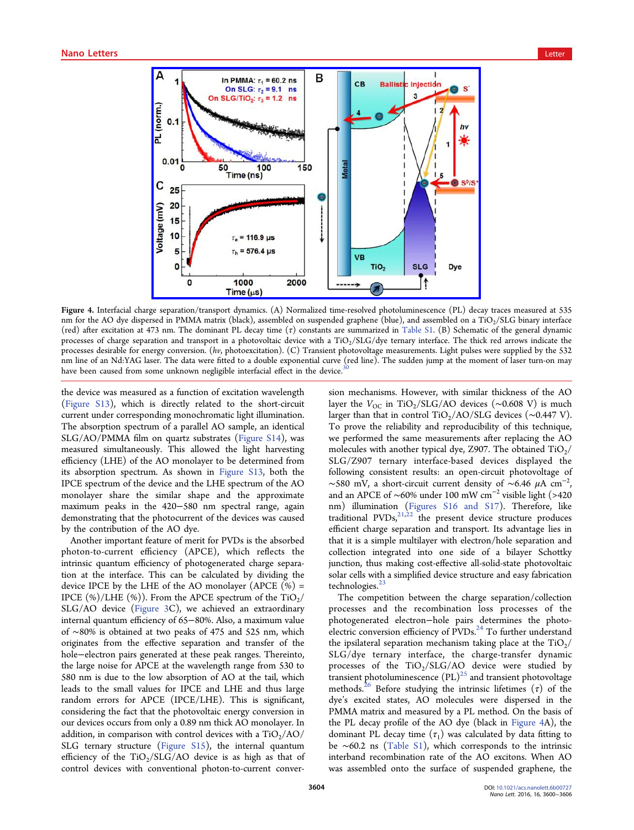<span id="page-4-0"></span>

Figure 4. Interfacial charg[e separation/transport dynamics. \(A\) Normalized time-resolved photoluminescence \(PL\) dec](http://pubsdc3.acs.org/action/showImage?doi=10.1021/acs.nanolett.6b00727&iName=master.img-004.jpg&w=319&h=223)ay traces measured at 535 nm for the AO dye dispersed in PMMA matrix (black), assembled on suspended graphene (blue), and assembled on a TiO<sub>2</sub>/SLG binary interface (red) after excitation at 473 nm. The dominant PL decay time (τ) constants are summarized in Table S1. (B) Schematic of the general dynamic processes of charge separation and transport in a photovoltaic device with a TiO<sub>2</sub>/SLG/dye ternary interface. The thick red arrows indicate the processes desirable for energy conversion. (hv, photoexcitation). (C) Transient photovoltage measurements. Light pulses were supplied by the 532 nm line of an Nd:YAG laser. The data were fitted to a double exponential curve (red line). The s[udden](http://pubs.acs.org/doi/suppl/10.1021/acs.nanolett.6b00727/suppl_file/nl6b00727_si_001.pdf) [jum](http://pubs.acs.org/doi/suppl/10.1021/acs.nanolett.6b00727/suppl_file/nl6b00727_si_001.pdf)p at the moment of laser turn-on may have been caused from some unknown negligible interfacial effect in the device.

the device was measured as a function of excitation wavelength (Figure S13), which is directly related to the short-circuit current under corresponding monochromatic light illumination. [The absorpti](http://pubs.acs.org/doi/suppl/10.1021/acs.nanolett.6b00727/suppl_file/nl6b00727_si_001.pdf)on spectrum of a parallel AO sample, an identical SLG/AO/PMMA film on quartz substrates (Figure S14), was measured simultaneously. This allowed the light harvesting efficiency (LHE) of the AO monolayer to be [determined](http://pubs.acs.org/doi/suppl/10.1021/acs.nanolett.6b00727/suppl_file/nl6b00727_si_001.pdf) from its absorption spectrum. As shown in Figure S13, both the IPCE spectrum of the device and the LHE spectrum of the AO monolayer share the similar shape [and the ap](http://pubs.acs.org/doi/suppl/10.1021/acs.nanolett.6b00727/suppl_file/nl6b00727_si_001.pdf)proximate maximum peaks in the 420−580 nm spectral range, again demonstrating that the photocurrent of the devices was caused by the contribution of the AO dye.

Another important feature of merit for PVDs is the absorbed photon-to-current efficiency (APCE), which reflects the intrinsic quantum efficiency of photogenerated charge separation at the interface. This can be calculated by dividing the device IPCE by the LHE of the AO monolayer (APCE  $(\%)$  = IPCE  $(\%)$ /LHE  $(\%)$ ). From the APCE spectrum of the TiO<sub>2</sub>/ SLG/AO device (Figure 3C), we achieved an extraordinary internal quantum efficiency of 65−80%. Also, a maximum value of ∼80% is obtain[ed at two](#page-3-0) peaks of 475 and 525 nm, which originates from the effective separation and transfer of the hole−electron pairs generated at these peak ranges. Thereinto, the large noise for APCE at the wavelength range from 530 to 580 nm is due to the low absorption of AO at the tail, which leads to the small values for IPCE and LHE and thus large random errors for APCE (IPCE/LHE). This is significant, considering the fact that the photovoltaic energy conversion in our devices occurs from only a 0.89 nm thick AO monolayer. In addition, in comparison with control devices with a  $TiO<sub>2</sub>/AO/$ SLG ternary structure (Figure S15), the internal quantum efficiency of the  $TiO<sub>2</sub>/SLG/AO$  device is as high as that of control devices with co[nventional p](http://pubs.acs.org/doi/suppl/10.1021/acs.nanolett.6b00727/suppl_file/nl6b00727_si_001.pdf)hoton-to-current conversio[n m](#page-6-0)echanisms. However, with similar thickness of the AO layer the  $V_{\text{OC}}$  in TiO<sub>2</sub>/SLG/AO devices (∼0.608 V) is much larger than that in control TiO<sub>2</sub>/AO/SLG devices ( $\sim$ 0.447 V). To prove the reliability and reproducibility of this technique, we performed the same measurements after replacing the AO molecules with another typical dye, Z907. The obtained  $TiO<sub>2</sub>/$ SLG/Z907 ternary interface-based devices displayed the following consistent results: an open-circuit photovoltage of  $\sim$ 580 mV, a short-circuit current density of  $\sim$ 6.46 µA cm<sup>-2</sup>, , and an APCE of ∼60% under 100 mW cm<sup>−</sup><sup>2</sup> visible light (>420 nm) illumination (Figures S16 and S17). Therefore, like traditional PVDs, $^{21,22}$  the present device structure produces efficient charge sepa[ration and transport. Its](http://pubs.acs.org/doi/suppl/10.1021/acs.nanolett.6b00727/suppl_file/nl6b00727_si_001.pdf) advantage lies in that it is a simple [mul](#page-6-0)tilayer with electron/hole separation and collection integrated into one side of a bilayer Schottky junction, thus making cost-effective all-solid-state photovoltaic solar cells with a simplified device structure and easy fabrication technologies.<sup>23</sup>

The competition between the charge separation/collection processes a[nd](#page-6-0) the recombination loss processes of the photogenerated electron−hole pairs determines the photoelectric conversion efficiency of  $\text{PVDs}^{24}$  To further understand the ipsilateral separation mechanism taking place at the  $TiO<sub>2</sub>/$ SLG/dye ternary interface, the c[ha](#page-6-0)rge-transfer dynamic processes of the  $TiO<sub>2</sub>/SLG/AO$  device were studied by transient photoluminescence  $(PL)^{25}$  and transient photovoltage methods.<sup>26</sup> Before studying the intrinsic lifetimes  $(\tau)$  of the dye's excited states, AO molec[ule](#page-6-0)s were dispersed in the PMMA [ma](#page-6-0)trix and measured by a PL method. On the basis of the PL decay profile of the AO dye (black in Figure 4A), the dominant PL decay time  $(\tau_1)$  was calculated by data fitting to be ∼60.2 ns (Table S1), which corresponds to the intrinsic interband recombination rate of the AO excitons. When AO was assembled [onto the](http://pubs.acs.org/doi/suppl/10.1021/acs.nanolett.6b00727/suppl_file/nl6b00727_si_001.pdf) surface of suspended graphene, the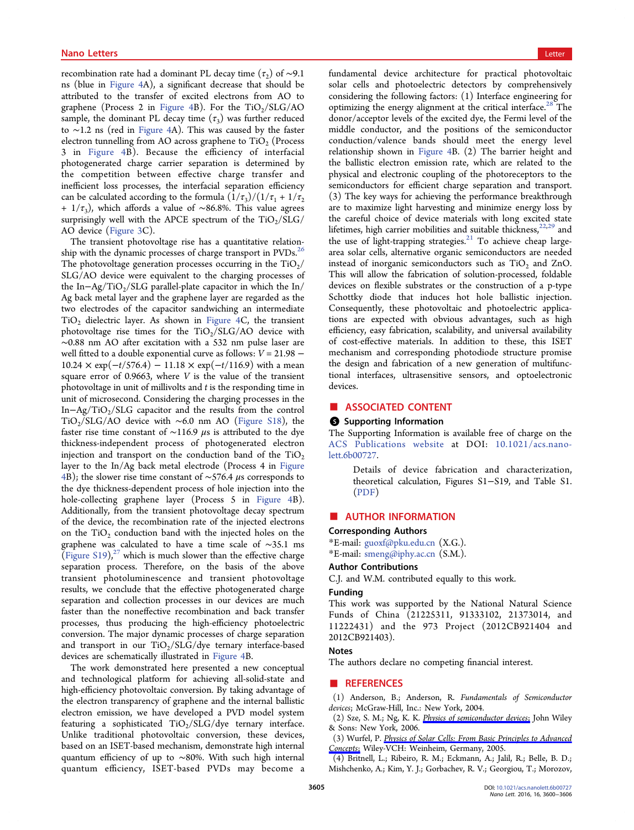<span id="page-5-0"></span>recombination rate had a dominant PL decay time ( $\tau_2$ ) of ~9.1 ns (blue in Figure 4A), a significant decrease that should be attributed to the transfer of excited electrons from AO to graphene ([Process 2](#page-4-0) in Figure 4B). For the  $TiO<sub>2</sub>/SLG/AO$ sample, the dominant PL decay time  $(\tau_3)$  was further reduced to ∼1.2 ns (red in Figur[e 4A\). T](#page-4-0)his was caused by the faster electron tunnelling from AO across graphene to  $TiO<sub>2</sub>$  (Process 3 in Figure 4B). [Becaus](#page-4-0)e the efficiency of interfacial photogenerated charge carrier separation is determined by the c[ompetition](#page-4-0) between effective charge transfer and inefficient loss processes, the interfacial separation efficiency can be calculated according to the formula  $\left(\frac{1}{\tau_3}\right)/\left(\frac{1}{\tau_1} + \frac{1}{\tau_2}\right)$ + 1/τ<sub>3</sub>), which affords a value of ∼86.8%. This value agrees surprisingly well with the APCE spectrum of the  $TiO<sub>2</sub>/SLG/$ AO device (Figure 3C).

The transient photovoltage rise has a quantitative relationship with th[e dynami](#page-3-0)c processes of charge transport in PVDs.<sup>26</sup> The photovoltage generation processes occurring in the  $TiO<sub>2</sub>/$ SLG/AO device were equivalent to the charging processes [of](#page-6-0) the In–Ag/TiO<sub>2</sub>/SLG parallel-plate capacitor in which the In/ Ag back metal layer and the graphene layer are regarded as the two electrodes of the capacitor sandwiching an intermediate  $TiO<sub>2</sub>$  dielectric layer. As shown in Figure 4C, the transient photovoltage rise times for the  $TiO<sub>2</sub>/SLG/AO$  device with ∼0.88 nm AO after excitation with [a 532 nm](#page-4-0) pulse laser are well fitted to a double exponential curve as follows:  $V = 21.98$  –  $10.24 \times \exp(-t/576.4) - 11.18 \times \exp(-t/116.9)$  with a mean square error of 0.9663, where  $V$  is the value of the transient photovoltage in unit of millivolts and  $t$  is the responding time in unit of microsecond. Considering the charging processes in the In-Ag/TiO<sub>2</sub>/SLG capacitor and the results from the control TiO2/SLG/AO device with ∼6.0 nm AO (Figure S18), the faster rise time constant of ~116.9  $\mu$ s is attributed to the dye thickness-independent process of photoge[nerated ele](http://pubs.acs.org/doi/suppl/10.1021/acs.nanolett.6b00727/suppl_file/nl6b00727_si_001.pdf)ctron injection and transport on the conduction band of the  $TiO<sub>2</sub>$ layer to the In/Ag back metal electrode (Process 4 in Figure 4B); the slower rise time constant of ∼576.4 μs corresponds to the dye thickness-dependent process of hole injection i[nto the](#page-4-0) [h](#page-4-0)ole-collecting graphene layer (Process 5 in Figure 4B). Additionally, from the transient photovoltage decay spectrum of the device, the recombination rate of the injec[ted electro](#page-4-0)ns on the  $TiO<sub>2</sub>$  conduction band with the injected holes on the graphene was calculated to have a time scale of ∼35.1 ms (Figure S19),<sup>27</sup> which is much slower than the effective charge separation process. Therefore, on the basis of the above t[ransient p](http://pubs.acs.org/doi/suppl/10.1021/acs.nanolett.6b00727/suppl_file/nl6b00727_si_001.pdf)[hot](#page-6-0)oluminescence and transient photovoltage results, we conclude that the effective photogenerated charge separation and collection processes in our devices are much faster than the noneffective recombination and back transfer processes, thus producing the high-efficiency photoelectric conversion. The major dynamic processes of charge separation and transport in our  $TiO<sub>2</sub>/SLG/dy$ e ternary interface-based devices are schematically illustrated in Figure 4B.

The work demonstrated here presented a new conceptual and technological platform for achie[ving all-](#page-4-0)solid-state and high-efficiency photovoltaic conversion. By taking advantage of the electron transparency of graphene and the internal ballistic electron emission, we have developed a PVD model system featuring a sophisticated  $TiO<sub>2</sub>/SLG/dye$  ternary interface. Unlike traditional photovoltaic conversion, these devices, based on an ISET-based mechanism, demonstrate high internal quantum efficiency of up to ~80%. With such high internal quantum efficiency, ISET-based PVDs may become a

fundamental device architecture for practical photovoltaic solar cells and photoelectric detectors by comprehensively considering the following factors: (1) Interface engineering for optimizing the energy alignment at the critical interface.<sup>28</sup> The donor/acceptor levels of the excited dye, the Fermi level of the middle conductor, and the positions of the semico[ndu](#page-6-0)ctor conduction/valence bands should meet the energy level relationship shown in Figure 4B. (2) The barrier height and the ballistic electron emission rate, which are related to the physical and electronic [coupling](#page-4-0) of the photoreceptors to the semiconductors for efficient charge separation and transport. (3) The key ways for achieving the performance breakthrough are to maximize light harvesting and minimize energy loss by the careful choice of device materials with long excited state lifetimes, high carrier mobilities and suitable thickness,<sup>22,29</sup> and the use of light-trapping strategies. $21$  To achieve cheap largearea solar cells, alternative organic semiconductors ar[e nee](#page-6-0)ded instead of inorganic semiconducto[rs](#page-6-0) such as  $TiO<sub>2</sub>$  and ZnO. This will allow the fabrication of solution-processed, foldable devices on flexible substrates or the construction of a p-type Schottky diode that induces hot hole ballistic injection. Consequently, these photovoltaic and photoelectric applications are expected with obvious advantages, such as high efficiency, easy fabrication, scalability, and universal availability of cost-effective materials. In addition to these, this ISET mechanism and corresponding photodiode structure promise the design and fabrication of a new generation of multifunctional interfaces, ultrasensitive sensors, and optoelectronic devices.

## ■ ASSOCIATED CONTENT

# **6** Supporting Information

The Supporting Information is available free of charge on the ACS Publications website at DOI: 10.1021/acs.nanolett.6b00727.

[Details of device fab](http://pubs.acs.org)rication an[d characterization,](http://pubs.acs.org/doi/abs/10.1021/acs.nanolett.6b00727) [theore](http://pubs.acs.org/doi/abs/10.1021/acs.nanolett.6b00727)tical calculation, Figures S1−S19, and Table S1. (PDF)

# ■ A[UTHO](http://pubs.acs.org/doi/suppl/10.1021/acs.nanolett.6b00727/suppl_file/nl6b00727_si_001.pdf)R INFORMATION

#### Corresponding Authors

\*E-mail: guoxf@pku.edu.cn (X.G.). \*E-mail: smeng@iphy.ac.cn (S.M.).

#### Author [Contributions](mailto:guoxf@pku.edu.cn)

C.J. and [W.M. contributed](mailto:smeng@iphy.ac.cn) equally to this work.

#### Funding

This work was supported by the National Natural Science Funds of China (21225311, 91333102, 21373014, and 11222431) and the 973 Project (2012CB921404 and 2012CB921403).

# Notes

The authors declare no competing financial interest.

## ■ REFERENCES

(1) Anderson, B.; Anderson, R. Fundamentals of Semiconductor devices; McGraw-Hill, Inc.: New York, 2004.

- (2) Sze, S. M.; Ng, K. K. Physics of semiconductor devices; John Wiley & Sons: New York, 2006.
- (3) Wurfel, P. Physics of S[olar Cells: From Basic Principles](http://pubs.acs.org/action/showLinks?crossref=10.1002%2F0470068329) to Advanced Concepts; Wiley-VCH: Weinheim, Germany, 2005.
- (4) Britnell, L.; Ribeiro, R. M.; Eckmann, A.; Jalil, R.; Belle, B. D.; [Mishchen](http://pubs.acs.org/action/showLinks?crossref=10.1002%2F9783527618545)ko, A.[;](http://pubs.acs.org/action/showLinks?crossref=10.1002%2F9783527618545) [Kim,](http://pubs.acs.org/action/showLinks?crossref=10.1002%2F9783527618545) [Y.](http://pubs.acs.org/action/showLinks?crossref=10.1002%2F9783527618545) [J.;](http://pubs.acs.org/action/showLinks?crossref=10.1002%2F9783527618545) [Gorbachev,](http://pubs.acs.org/action/showLinks?crossref=10.1002%2F9783527618545) [R.](http://pubs.acs.org/action/showLinks?crossref=10.1002%2F9783527618545) [V.;](http://pubs.acs.org/action/showLinks?crossref=10.1002%2F9783527618545) [Georgiou,](http://pubs.acs.org/action/showLinks?crossref=10.1002%2F9783527618545) [T.;](http://pubs.acs.org/action/showLinks?crossref=10.1002%2F9783527618545) [Morozov,](http://pubs.acs.org/action/showLinks?crossref=10.1002%2F9783527618545)